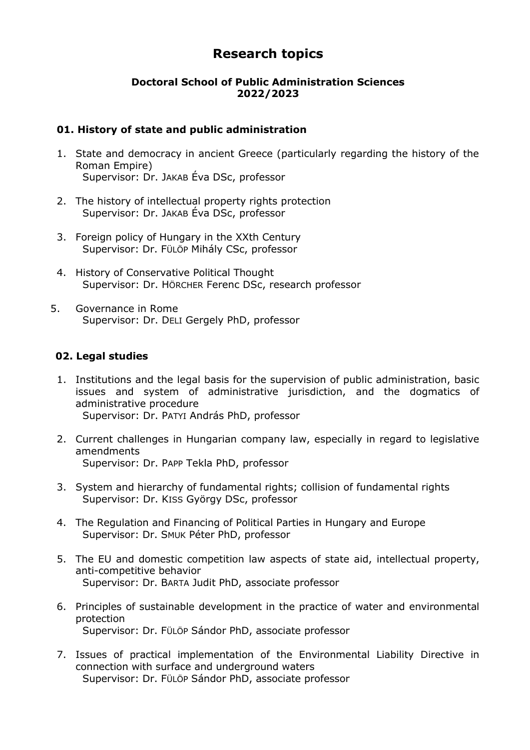# **Research topics**

# **Doctoral School of Public Administration Sciences 2022/2023**

#### **01. History of state and public administration**

- 1. State and democracy in ancient Greece (particularly regarding the history of the Roman Empire) Supervisor: Dr. JAKAB Éva DSc, professor
- 2. The history of intellectual property rights protection Supervisor: Dr. JAKAB Éva DSc, professor
- 3. Foreign policy of Hungary in the XXth Century Supervisor: Dr. FÜLÖP Mihály CSc, professor
- 4. History of Conservative Political Thought Supervisor: Dr. HÖRCHER Ferenc DSc, research professor
- 5. Governance in Rome Supervisor: Dr. DELI Gergely PhD, professor

# **02. Legal studies**

- 1. Institutions and the legal basis for the supervision of public administration, basic issues and system of administrative jurisdiction, and the dogmatics of administrative procedure Supervisor: Dr. PATYI András PhD, professor
- 2. Current challenges in Hungarian company law, especially in regard to legislative amendments Supervisor: Dr. PAPP Tekla PhD, professor
- 3. System and hierarchy of fundamental rights; collision of fundamental rights Supervisor: Dr. KISS György DSc, professor
- 4. The Regulation and Financing of Political Parties in Hungary and Europe Supervisor: Dr. SMUK Péter PhD, professor
- 5. The EU and domestic competition law aspects of state aid, intellectual property, anti-competitive behavior Supervisor: Dr. BARTA Judit PhD, associate professor
- 6. Principles of sustainable development in the practice of water and environmental protection Supervisor: Dr. FÜLÖP Sándor PhD, associate professor
- 7. Issues of practical implementation of the Environmental Liability Directive in connection with surface and underground waters Supervisor: Dr. FÜLÖP Sándor PhD, associate professor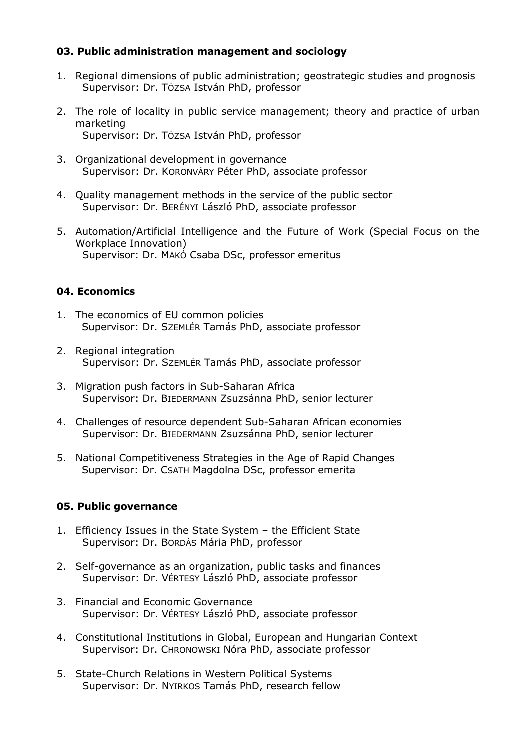# **03. Public administration management and sociology**

- 1. Regional dimensions of public administration; geostrategic studies and prognosis Supervisor: Dr. TÓZSA István PhD, professor
- 2. The role of locality in public service management; theory and practice of urban marketing Supervisor: Dr. TÓZSA István PhD, professor
- 3. Organizational development in governance Supervisor: Dr. KORONVÁRY Péter PhD, associate professor
- 4. Quality management methods in the service of the public sector Supervisor: Dr. BERÉNYI László PhD, associate professor
- 5. Automation/Artificial Intelligence and the Future of Work (Special Focus on the Workplace Innovation) Supervisor: Dr. MAKÓ Csaba DSc, professor emeritus

# **04. Economics**

- 1. The economics of EU common policies Supervisor: Dr. SZEMLÉR Tamás PhD, associate professor
- 2. Regional integration Supervisor: Dr. SZEMLÉR Tamás PhD, associate professor
- 3. Migration push factors in Sub-Saharan Africa Supervisor: Dr. BIEDERMANN Zsuzsánna PhD, senior lecturer
- 4. Challenges of resource dependent Sub-Saharan African economies Supervisor: Dr. BIEDERMANN Zsuzsánna PhD, senior lecturer
- 5. National Competitiveness Strategies in the Age of Rapid Changes Supervisor: Dr. CSATH Magdolna DSc, professor emerita

# **05. Public governance**

- 1. Efficiency Issues in the State System the Efficient State Supervisor: Dr. BORDÁS Mária PhD, professor
- 2. Self-governance as an organization, public tasks and finances Supervisor: Dr. VÉRTESY László PhD, associate professor
- 3. Financial and Economic Governance Supervisor: Dr. VÉRTESY László PhD, associate professor
- 4. Constitutional Institutions in Global, European and Hungarian Context Supervisor: Dr. CHRONOWSKI Nóra PhD, associate professor
- 5. State-Church Relations in Western Political Systems Supervisor: Dr. NYIRKOS Tamás PhD, research fellow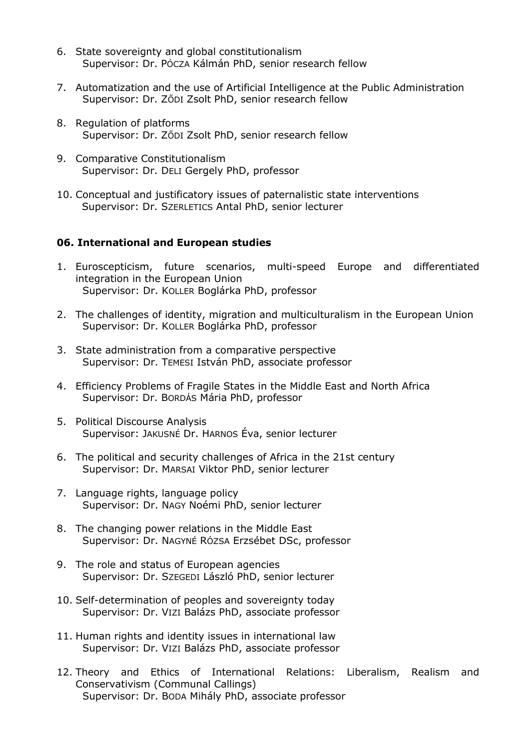- 6. State sovereignty and global constitutionalism Supervisor: Dr. PÓCZA Kálmán PhD, senior research fellow
- 7. Automatization and the use of Artificial Intelligence at the Public Administration Supervisor: Dr. ZŐDI Zsolt PhD, senior research fellow
- 8. Regulation of platforms Supervisor: Dr. ZŐDI Zsolt PhD, senior research fellow
- 9. Comparative Constitutionalism Supervisor: Dr. DELI Gergely PhD, professor
- 10. Conceptual and justificatory issues of paternalistic state interventions Supervisor: Dr. SZERLETICS Antal PhD, senior lecturer

#### **06. International and European studies**

- 1. Euroscepticism, future scenarios, multi-speed Europe and differentiated integration in the European Union Supervisor: Dr. KOLLER Boglárka PhD, professor
- 2. The challenges of identity, migration and multiculturalism in the European Union Supervisor: Dr. KOLLER Boglárka PhD, professor
- 3. State administration from a comparative perspective Supervisor: Dr. TEMESI István PhD, associate professor
- 4. Efficiency Problems of Fragile States in the Middle East and North Africa Supervisor: Dr. BORDÁS Mária PhD, professor
- 5. Political Discourse Analysis Supervisor: JAKUSNÉ Dr. HARNOS Éva, senior lecturer
- 6. The political and security challenges of Africa in the 21st century Supervisor: Dr. MARSAI Viktor PhD, senior lecturer
- 7. Language rights, language policy Supervisor: Dr. NAGY Noémi PhD, senior lecturer
- 8. The changing power relations in the Middle East Supervisor: Dr. NAGYNÉ RÓZSA Erzsébet DSc, professor
- 9. The role and status of European agencies Supervisor: Dr. SZEGEDI László PhD, senior lecturer
- 10. Self-determination of peoples and sovereignty today Supervisor: Dr. VIZI Balázs PhD, associate professor
- 11. Human rights and identity issues in international law Supervisor: Dr. VIZI Balázs PhD, associate professor
- 12. Theory and Ethics of International Relations: Liberalism, Realism and Conservativism (Communal Callings) Supervisor: Dr. BODA Mihály PhD, associate professor